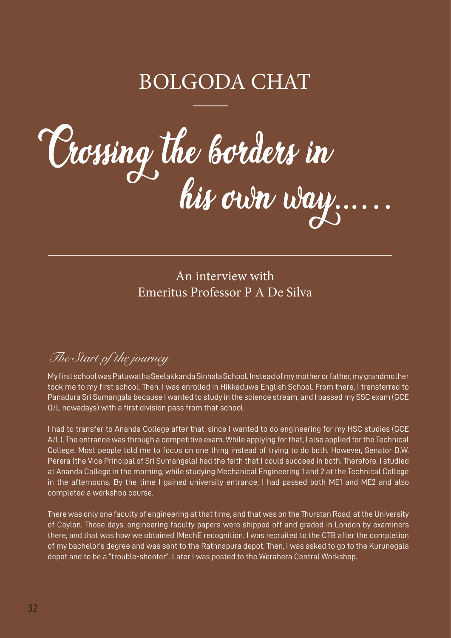# BOLGODA CHAT

Vrossing the borders in

An interview with Emeritus Professor P A De Silva

# *The Start of the journey*

My first school was Patuwatha Seelakkanda Sinhala School. Instead of my mother or father, my grandmother took me to my first school. Then, I was enrolled in Hikkaduwa English School. From there, I transferred to Panadura Sri Sumangala because I wanted to study in the science stream, and I passed my SSC exam (GCE O/L nowadays) with a first division pass from that school.

I had to transfer to Ananda College after that, since I wanted to do engineering for my HSC studies (GCE A/L). The entrance was through a competitive exam. While applying for that, I also applied for the Technical College. Most people told me to focus on one thing instead of trying to do both. However, Senator D.W. Perera (the Vice Principal of Sri Sumangala) had the faith that I could succeed in both. Therefore, I studied at Ananda College in the morning, while studying Mechanical Engineering 1 and 2 at the Technical College in the afternoons. By the time I gained university entrance, I had passed both ME1 and ME2 and also completed a workshop course.

There was only one faculty of engineering at that time, and that was on the Thurstan Road, at the University of Ceylon. Those days, engineering faculty papers were shipped off and graded in London by examiners there, and that was how we obtained IMechE recognition. I was recruited to the CTB after the completion of my bachelor's degree and was sent to the Rathnapura depot. Then, I was asked to go to the Kurunegala depot and to be a "trouble-shooter". Later I was posted to the Werahera Central Workshop.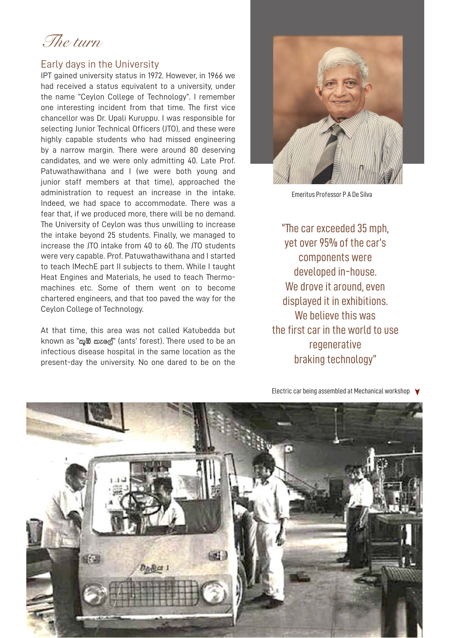*The turn*

#### Early days in the University

IPT gained university status in 1972. However, in 1966 we had received a status equivalent to a university, under the name "Ceylon College of Technology". I remember one interesting incident from that time. The first vice chancellor was Dr. Upali Kuruppu. I was responsible for selecting Junior Technical Officers (JTO), and these were highly capable students who had missed engineering by a narrow margin. There were around 80 deserving candidates, and we were only admitting 40. Late Prof. Patuwathawithana and I (we were both young and junior staff members at that time), approached the administration to request an increase in the intake. Indeed, we had space to accommodate. There was a fear that, if we produced more, there will be no demand. The University of Ceylon was thus unwilling to increase the intake beyond 25 students. Finally, we managed to increase the JTO intake from 40 to 60. The JTO students were very capable. Prof. Patuwathawithana and I started to teach IMechE part II subjects to them. While I taught Heat Engines and Materials, he used to teach Thermomachines etc. Some of them went on to become chartered engineers, and that too paved the way for the Ceylon College of Technology.

At that time, this area was not called Katubedda but known as "කුඹි කැලේ" (ants' forest). There used to be an infectious disease hospital in the same location as the present-day the university. No one dared to be on the



Emeritus Professor P A De Silva

"The car exceeded 35 mph, yet over 95% of the car's components were developed in-house. We drove it around, even displayed it in exhibitions. We believe this was the first car in the world to use regenerative braking technology"

Electric car being assembled at Mechanical workshop  $\blacktriangledown$ 

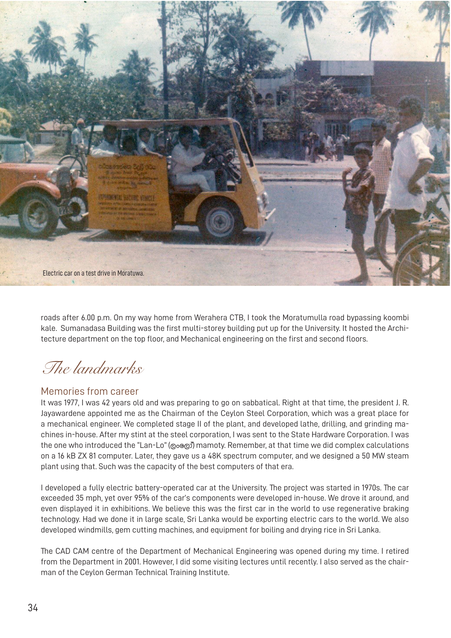

roads after 6.00 p.m. On my way home from Werahera CTB, I took the Moratumulla road bypassing koombi kale. Sumanadasa Building was the first multi-storey building put up for the University. It hosted the Architecture department on the top floor, and Mechanical engineering on the first and second floors.

*The landmarks*

### Memories from career

It was 1977, I was 42 years old and was preparing to go on sabbatical. Right at that time, the president J. R. Jayawardene appointed me as the Chairman of the Ceylon Steel Corporation, which was a great place for a mechanical engineer. We completed stage II of the plant, and developed lathe, drilling, and grinding machines in-house. After my stint at the steel corporation, I was sent to the State Hardware Corporation. I was the one who introduced the "Lan-Lo" (@o@o) mamoty. Remember, at that time we did complex calculations on a 16 kB ZX 81 computer. Later, they gave us a 48K spectrum computer, and we designed a 50 MW steam plant using that. Such was the capacity of the best computers of that era.

I developed a fully electric battery-operated car at the University. The project was started in 1970s. The car exceeded 35 mph, yet over 95% of the car's components were developed in-house. We drove it around, and even displayed it in exhibitions. We believe this was the first car in the world to use regenerative braking technology. Had we done it in large scale, Sri Lanka would be exporting electric cars to the world. We also developed windmills, gem cutting machines, and equipment for boiling and drying rice in Sri Lanka.

The CAD CAM centre of the Department of Mechanical Engineering was opened during my time. I retired from the Department in 2001. However, I did some visiting lectures until recently. I also served as the chairman of the Ceylon German Technical Training Institute.